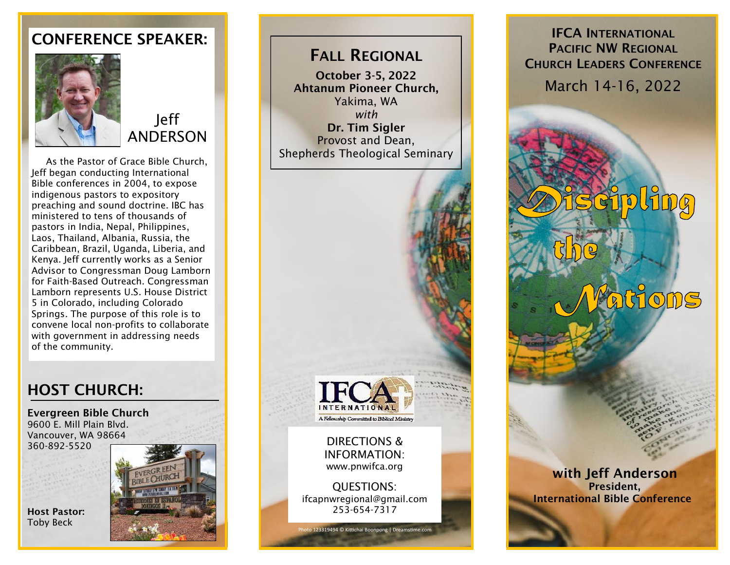## CONFERENCE SPEAKER:



Jeff ANDERSON

 As the Pastor of Grace Bible Church, Jeff began conducting International Bible conferences in 2004, to expose indigenous pastors to expository preaching and sound doctrine. IBC has ministered to tens of thousands of pastors in India, Nepal, Philippines, Laos, Thailand, Albania, Russia, the Caribbean, Brazil, Uganda, Liberia, and Kenya. Jeff currently works as a Senior Advisor to Congressman Doug Lamborn for Faith-Based Outreach. Congressman Lamborn represents U.S. House District 5 in Colorado, including Colorado Springs. The purpose of this role is to convene local non-profits to collaborate with government in addressing needs of the community.

# HOST CHURCH:

Evergreen Bible Church 9600 E. Mill Plain Blvd. Vancouver, WA 98664 360-892-5520



FALL REGIONAL

October 3-5, 2022 Ahtanum Pioneer Church, Yakima, WA *with* Dr. Tim Sigler Provost and Dean, Shepherds Theological Seminary



## IFCA INTERNATIONAL PACIFIC NW REGIONAL CHURCH LEADERS CONFERENCE March 14-16, 2022



**tions** 

Host Pastor: Toby Beck